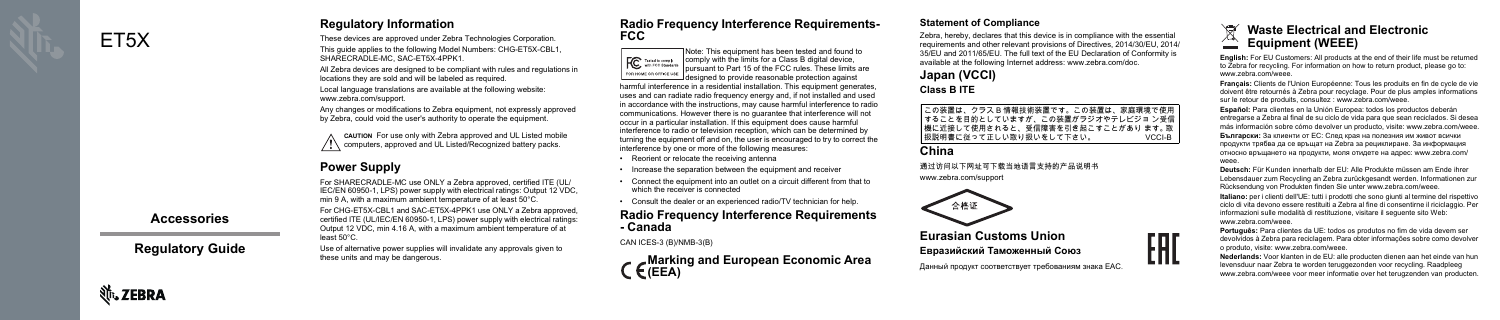ET<sub>5</sub>X

**Nr.** ZEBRA

## **Accessories**

**Regulatory Guide** 

# **Regulatory Information**

These devices are approved under Zebra Technologies Corporation. This quide applies to the following Model Numbers: CHG-ET5X-CBL1. SHARFCRADLE-MC SAC-FT5X-4PPK1

All Zebra devices are designed to be compliant with rules and regulations in locations they are sold and will be labeled as required.

Local language translations are available at the following website: www.zebra.com/support.

Any changes or modifications to Zebra equipment, not expressly approved by Zebra, could void the user's authority to operate the equipment.

CAUTION For use only with Zebra approved and UL Listed mobile / \\ computers, approved and UL Listed/Recognized battery packs.

# **Power Supply**

For SHARECRADLE-MC use ONLY a Zebra approved, certified ITE (UL/ IEC/EN 60950-1, LPS) power supply with electrical ratings: Output 12 VDC, min 9 A, with a maximum ambient temperature of at least 50°C.

For CHG-ET5X-CBL1 and SAC-ET5X-4PPK1 use ONLY a Zebra approved, certified ITE (UL/IEC/EN 60950-1, LPS) power supply with electrical ratings: Output 12 VDC, min 4.16 A, with a maximum ambient temperature of at least 50°C.

Use of alternative power supplies will invalidate any approvals given to these units and may be dangerous.

## **Radio Frequency Interference Requirements-FCC**

TNote: This equipment has been tested and found to  $\left| \bigoplus_{\text{width FCC Standards}} \bigotimes_{\text{normalings}} \text{complex with the limits for a Class B digital device,} \right|$ pursuant to Part 15 of the FCC rules. These limits are FOR HOME OR OFFICE USE  $\Box$ desianed to provide reasonable protection against harmful interference in a residential installation. This equipment generates. uses and can radiate radio frequency energy and, if not installed and used in accordance with the instructions, may cause harmful interference to radio communications. However there is no quarantee that interference will not occur in a particular installation. If this equipment does cause harmful interference to radio or television reception, which can be determined by turning the equipment off and on, the user is encouraged to try to correct the interference by one or more of the following measures:

- Reorient or relocate the receiving antenna
- Increase the separation between the equipment and receiver
- Connect the equipment into an outlet on a circuit different from that to which the receiver is connected
- Consult the dealer or an experienced radio/TV technician for help.

## **Radio Frequency Interference Requirements** - Canada

CAN ICES-3 (B)/NMB-3(B)

Marking and European Economic Area  $C$ (EEA)

## **Statement of Compliance**

Zebra, hereby, declares that this device is in compliance with the essential requirements and other relevant provisions of Directives, 2014/30/EU, 2014/ 35/EU and 2011/65/EU. The full text of the EU Declaration of Conformity is available at the following Internet address: www.zebra.com/doc.

# Japan (VCCI) **Class B ITE**

## China

通过访问以下网址可下载当地语言支持的产品说明书 www.zebra.com/support



**Eurasian Customs Union** Евразийский Таможенный Союз

Данный продукт соответствует требованиям знака ЕАС.

この装置は、クラス B 情報技術装置です。この装置は、家庭環境で使用 することを目的としていますが、この装置がラジオやテレビジョン受信 機に近接して使用されると、受信障害を引き起こすことがあり ます。取 扱説明書に従って正しい取り扱いをして下さい。 VCCI-B





English: For EU Customers: All products at the end of their life must be returned to Zebra for recycling. For information on how to return product, please go to: WWW.Zehra.com/weee

Français: Clients de l'Union Européenne: Tous les produits en fin de cycle de vie doivent être retournés à Zebra pour recyclage. Pour de plus amples informations sur le retour de produits, consultez : www.zebra.com/weee.

Español: Para clientes en la Unión Europea: todos los productos deberán entregarse a Zebra al final de su ciclo de vida para que sean reciclados. Si desea más información sobre cómo devolver un producto, visite: www.zebra.com/weee.

Български: За клиенти от ЕС: След края на полезния им живот всички продукти трябва да се връщат на Zebra за рециклиране. За информация относно връщането на продукти, моля отидете на адрес: www.zebra.com/ weee

Deutsch: Für Kunden innerhalb der EU: Alle Produkte müssen am Ende ihrer Lebensdauer zum Recycling an Zebra zurückgesandt werden. Informationen zur Rücksendung von Produkten finden Sie unter www.zebra.com/weee.

Italiano: per i clienti dell'UE: tutti i prodotti che sono giunti al termine del rispettivo ciclo di vita devono essere restituiti a Zebra al fine di consentirne il riciclaggio. Per informazioni sulle modalità di restituzione, visitare il sequente sito Web: www.zebra.com/weee

Português: Para clientes da UE: todos os produtos no fim de vida devem ser devolvidos à Zebra para reciclagem. Para obter informações sobre como devolver o produto, visite: www.zebra.com/weee.

Nederlands: Voor klanten in de EU: alle producten dienen aan het einde van hun levensduur naar Zebra te worden teruggezonden voor recycling. Raadpleeg www.zebra.com/weee voor meer informatie over het terugzenden van producten.